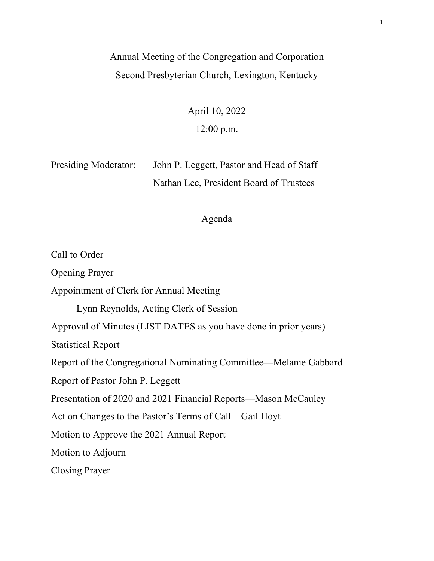## Annual Meeting of the Congregation and Corporation Second Presbyterian Church, Lexington, Kentucky

April 10, 2022 12:00 p.m.

Presiding Moderator: John P. Leggett, Pastor and Head of Staff Nathan Lee, President Board of Trustees

### Agenda

Call to Order Opening Prayer Appointment of Clerk for Annual Meeting Lynn Reynolds, Acting Clerk of Session Approval of Minutes (LIST DATES as you have done in prior years) Statistical Report Report of the Congregational Nominating Committee—Melanie Gabbard Report of Pastor John P. Leggett Presentation of 2020 and 2021 Financial Reports—Mason McCauley Act on Changes to the Pastor's Terms of Call—Gail Hoyt Motion to Approve the 2021 Annual Report Motion to Adjourn Closing Prayer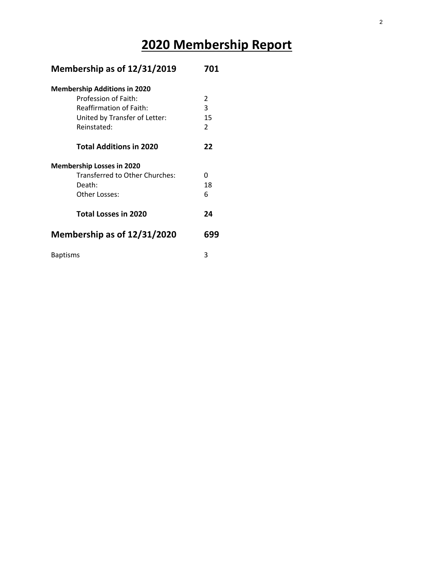# **2020 Membership Report**

| Membership as of 12/31/2019         | 701           |  |
|-------------------------------------|---------------|--|
| <b>Membership Additions in 2020</b> |               |  |
| Profession of Faith:                | 2             |  |
| <b>Reaffirmation of Faith:</b>      | 3             |  |
| United by Transfer of Letter:       | 15            |  |
| Reinstated:                         | $\mathcal{P}$ |  |
| <b>Total Additions in 2020</b>      | 22            |  |
| <b>Membership Losses in 2020</b>    |               |  |
| Transferred to Other Churches:      | ŋ             |  |
| Death:                              | 18            |  |
| Other Losses:                       | 6             |  |
| <b>Total Losses in 2020</b>         | 24            |  |
| Membership as of 12/31/2020         | 699           |  |
| <b>Baptisms</b>                     | 3             |  |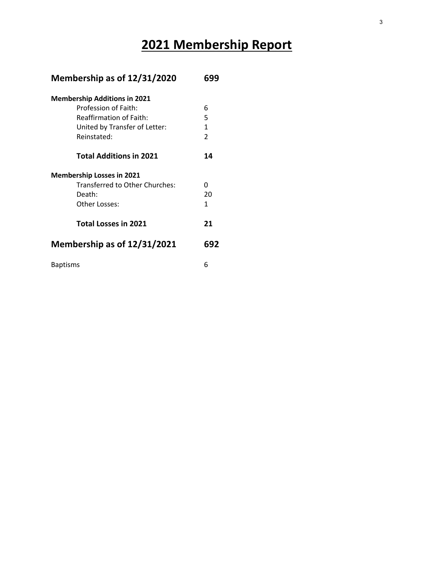# **2021 Membership Report**

| Membership as of 12/31/2020         | 699            |
|-------------------------------------|----------------|
| <b>Membership Additions in 2021</b> |                |
| Profession of Faith:                | 6              |
| <b>Reaffirmation of Faith:</b>      | 5              |
| United by Transfer of Letter:       | $\mathbf{1}$   |
| Reinstated:                         | $\overline{2}$ |
| <b>Total Additions in 2021</b>      | 14             |
| <b>Membership Losses in 2021</b>    |                |
| Transferred to Other Churches:      | U              |
| Death:                              | 20             |
| Other Losses:                       | 1              |
| <b>Total Losses in 2021</b>         | 21             |
| Membership as of 12/31/2021         | 692            |
| <b>Baptisms</b>                     | 6              |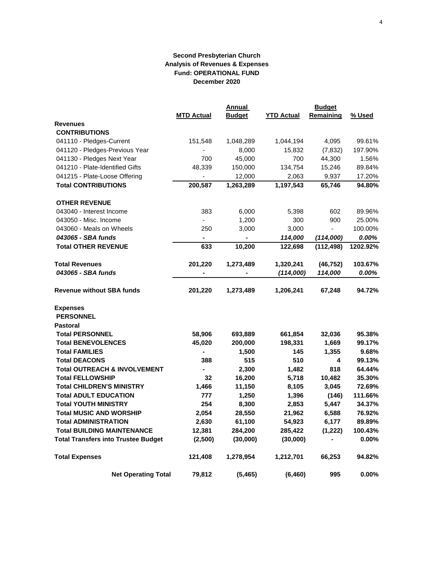|                                            |                          | <b>Annual</b> |                   | <b>Budget</b> |          |
|--------------------------------------------|--------------------------|---------------|-------------------|---------------|----------|
|                                            | <b>MTD Actual</b>        | <b>Budget</b> | <b>YTD Actual</b> | Remaining     | % Used   |
| <b>Revenues</b>                            |                          |               |                   |               |          |
| <b>CONTRIBUTIONS</b>                       |                          |               |                   |               |          |
| 041110 - Pledges-Current                   | 151,548                  | 1,048,289     | 1,044,194         | 4,095         | 99.61%   |
| 041120 - Pledges-Previous Year             | $\overline{\phantom{0}}$ | 8,000         | 15,832            | (7, 832)      | 197.90%  |
| 041130 - Pledges Next Year                 | 700                      | 45,000        | 700               | 44,300        | 1.56%    |
| 041210 - Plate-Identified Gifts            | 48,339                   | 150,000       | 134,754           | 15,246        | 89.84%   |
| 041215 - Plate-Loose Offering              |                          | 12,000        | 2,063             | 9,937         | 17.20%   |
| <b>Total CONTRIBUTIONS</b>                 | 200,587                  | 1,263,289     | 1,197,543         | 65,746        | 94.80%   |
| <b>OTHER REVENUE</b>                       |                          |               |                   |               |          |
| 043040 - Interest Income                   | 383                      | 6,000         | 5,398             | 602           | 89.96%   |
| 043050 - Misc. Income                      | $\overline{\phantom{a}}$ | 1,200         | 300               | 900           | 25.00%   |
| 043060 - Meals on Wheels                   | 250                      | 3,000         | 3,000             |               | 100.00%  |
| 043065 - SBA funds                         | $\overline{\phantom{a}}$ |               | 114,000           | (114,000)     | 0.00%    |
| <b>Total OTHER REVENUE</b>                 | 633                      | 10,200        | 122,698           | (112, 498)    | 1202.92% |
| <b>Total Revenues</b>                      | 201,220                  | 1,273,489     | 1,320,241         | (46, 752)     | 103.67%  |
| 043065 - SBA funds                         |                          |               | (114,000)         | 114,000       | 0.00%    |
| <b>Revenue without SBA funds</b>           | 201,220                  | 1,273,489     | 1,206,241         | 67,248        | 94.72%   |
| <b>Expenses</b>                            |                          |               |                   |               |          |
| <b>PERSONNEL</b>                           |                          |               |                   |               |          |
| <b>Pastoral</b>                            |                          |               |                   |               |          |
| <b>Total PERSONNEL</b>                     | 58,906                   | 693,889       | 661,854           | 32,036        | 95.38%   |
| <b>Total BENEVOLENCES</b>                  | 45,020                   | 200,000       | 198,331           | 1,669         | 99.17%   |
| <b>Total FAMILIES</b>                      | -                        | 1,500         | 145               | 1,355         | 9.68%    |
| <b>Total DEACONS</b>                       | 388                      | 515           | 510               | 4             | 99.13%   |
| <b>Total OUTREACH &amp; INVOLVEMENT</b>    |                          | 2,300         | 1,482             | 818           | 64.44%   |
| <b>Total FELLOWSHIP</b>                    | 32                       | 16,200        | 5,718             | 10,482        | 35.30%   |
| <b>Total CHILDREN'S MINISTRY</b>           | 1,466                    | 11,150        | 8,105             | 3,045         | 72.69%   |
| <b>Total ADULT EDUCATION</b>               | 777                      | 1,250         | 1,396             | (146)         | 111.66%  |
| <b>Total YOUTH MINISTRY</b>                | 254                      | 8,300         | 2,853             | 5,447         | 34.37%   |
| <b>Total MUSIC AND WORSHIP</b>             | 2,054                    | 28,550        | 21,962            | 6,588         | 76.92%   |
| <b>Total ADMINISTRATION</b>                | 2,630                    | 61,100        | 54,923            | 6,177         | 89.89%   |
| <b>Total BUILDING MAINTENANCE</b>          | 12,381                   | 284,200       | 285,422           | (1, 222)      | 100.43%  |
| <b>Total Transfers into Trustee Budget</b> | (2,500)                  | (30,000)      | (30,000)          |               | 0.00%    |
| <b>Total Expenses</b>                      | 121,408                  | 1,278,954     | 1,212,701         | 66,253        | 94.82%   |
| <b>Net Operating Total</b>                 | 79,812                   | (5, 465)      | (6, 460)          | 995           | 0.00%    |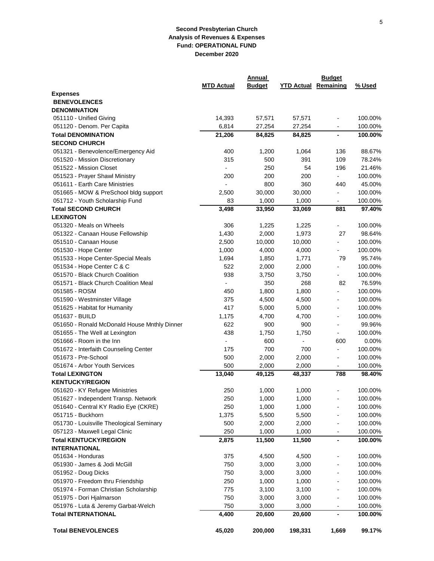|                                              |                   | Annual        |                             | <b>Budget</b>                |         |
|----------------------------------------------|-------------------|---------------|-----------------------------|------------------------------|---------|
|                                              | <b>MTD Actual</b> | <b>Budget</b> | <b>YTD Actual Remaining</b> |                              | % Used  |
| <b>Expenses</b>                              |                   |               |                             |                              |         |
| <b>BENEVOLENCES</b>                          |                   |               |                             |                              |         |
| <b>DENOMINATION</b>                          |                   |               |                             |                              |         |
| 051110 - Unified Giving                      | 14,393            | 57,571        | 57,571                      |                              | 100.00% |
| 051120 - Denom. Per Capita                   | 6,814             | 27,254        | 27,254                      |                              | 100.00% |
| <b>Total DENOMINATION</b>                    | 21,206            | 84,825        | 84,825                      |                              | 100.00% |
| <b>SECOND CHURCH</b>                         |                   |               |                             |                              |         |
| 051321 - Benevolence/Emergency Aid           | 400               | 1,200         | 1,064                       | 136                          | 88.67%  |
| 051520 - Mission Discretionary               | 315               | 500           | 391                         | 109                          | 78.24%  |
| 051522 - Mission Closet                      |                   | 250           | 54                          | 196                          | 21.46%  |
| 051523 - Prayer Shawl Ministry               | 200               | 200           | 200                         | $\overline{\phantom{0}}$     | 100.00% |
| 051611 - Earth Care Ministries               |                   | 800           | 360                         | 440                          | 45.00%  |
| 051665 - MOW & PreSchool bldg support        | 2,500             | 30,000        | 30,000                      | $\overline{\phantom{a}}$     | 100.00% |
| 051712 - Youth Scholarship Fund              | 83                | 1,000         | 1,000                       | $\overline{\phantom{a}}$     | 100.00% |
| <b>Total SECOND CHURCH</b>                   | 3,498             | 33,950        | 33,069                      | 881                          | 97.40%  |
| <b>LEXINGTON</b>                             |                   |               |                             |                              |         |
| 051320 - Meals on Wheels                     | 306               | 1,225         | 1,225                       | $\overline{\phantom{0}}$     | 100.00% |
| 051322 - Canaan House Fellowship             | 1,430             | 2,000         | 1,973                       | 27                           | 98.64%  |
| 051510 - Canaan House                        | 2,500             | 10,000        | 10,000                      |                              | 100.00% |
| 051530 - Hope Center                         | 1,000             | 4,000         | 4,000                       |                              | 100.00% |
| 051533 - Hope Center-Special Meals           | 1,694             | 1,850         | 1,771                       | 79                           | 95.74%  |
| 051534 - Hope Center C & C                   | 522               | 2,000         | 2,000                       |                              | 100.00% |
| 051570 - Black Church Coalition              | 938               | 3,750         | 3,750                       | $\overline{a}$               | 100.00% |
| 051571 - Black Church Coalition Meal         |                   | 350           | 268                         | 82                           | 76.59%  |
| 051585 - ROSM                                | 450               | 1,800         | 1,800                       | $\overline{a}$               | 100.00% |
| 051590 - Westminster Village                 | 375               | 4,500         | 4,500                       | $\overline{\phantom{0}}$     | 100.00% |
| 051625 - Habitat for Humanity                | 417               | 5,000         | 5,000                       |                              | 100.00% |
| 051637 - BUILD                               | 1,175             | 4,700         | 4,700                       | $\overline{\phantom{a}}$     | 100.00% |
| 051650 - Ronald McDonald House Mnthly Dinner | 622               | 900           | 900                         | $\overline{\phantom{0}}$     | 99.96%  |
| 051655 - The Well at Lexington               | 438               | 1,750         | 1,750                       | $\overline{\phantom{0}}$     | 100.00% |
| 051666 - Room in the Inn                     | ÷                 | 600           | $\frac{1}{2}$               | 600                          | 0.00%   |
| 051672 - Interfaith Counseling Center        | 175               | 700           | 700                         | $\overline{\phantom{0}}$     | 100.00% |
| 051673 - Pre-School                          | 500               | 2,000         | 2,000                       | -                            | 100.00% |
| 051674 - Arbor Youth Services                | 500               | 2,000         | 2,000                       | $\qquad \qquad \blacksquare$ | 100.00% |
| <b>Total LEXINGTON</b>                       | 13,040            | 49,125        | 48,337                      | 788                          | 98.40%  |
| <b>KENTUCKY/REGION</b>                       |                   |               |                             |                              |         |
| 051620 - KY Refugee Ministries               | 250               | 1,000         | 1.000                       |                              | 100.00% |
| 051627 - Independent Transp. Network         | 250               | 1,000         | 1,000                       |                              | 100.00% |
| 051640 - Central KY Radio Eye (CKRE)         | 250               | 1,000         | 1,000                       |                              | 100.00% |
| 051715 - Buckhorn                            | 1,375             | 5,500         | 5,500                       | $\overline{\phantom{a}}$     | 100.00% |
| 051730 - Louisville Theological Seminary     | 500               | 2,000         | 2,000                       | $\overline{\phantom{a}}$     | 100.00% |
| 057123 - Maxwell Legal Clinic                | 250               | 1,000         | 1,000                       |                              | 100.00% |
| <b>Total KENTUCKY/REGION</b>                 | 2,875             | 11,500        | 11,500                      | $\overline{\phantom{0}}$     | 100.00% |
| <b>INTERNATIONAL</b>                         |                   |               |                             |                              |         |
| 051634 - Honduras                            | 375               | 4,500         | 4,500                       | $\overline{\phantom{0}}$     | 100.00% |
| 051930 - James & Jodi McGill                 | 750               | 3,000         | 3,000                       | $\overline{\phantom{0}}$     | 100.00% |
| 051952 - Doug Dicks                          | 750               | 3,000         | 3,000                       | $\overline{\phantom{0}}$     | 100.00% |
| 051970 - Freedom thru Friendship             | 250               | 1,000         | 1,000                       | $\overline{\phantom{0}}$     | 100.00% |
| 051974 - Forman Christian Scholarship        | 775               | 3,100         | 3,100                       |                              | 100.00% |
| 051975 - Dori Hjalmarson                     | 750               | 3,000         | 3,000                       |                              | 100.00% |
| 051976 - Luta & Jeremy Garbat-Welch          | 750               | 3,000         | 3,000                       | -                            | 100.00% |
| <b>Total INTERNATIONAL</b>                   | 4,400             | 20,600        | 20,600                      | $\blacksquare$               | 100.00% |
|                                              |                   |               |                             |                              |         |
| <b>Total BENEVOLENCES</b>                    | 45,020            | 200,000       | 198,331                     | 1,669                        | 99.17%  |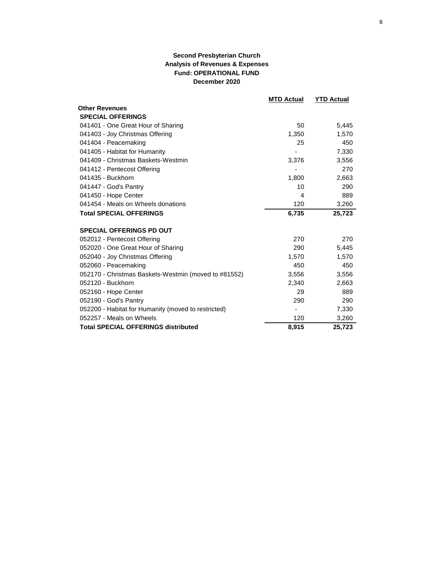|                                                      | <b>MTD Actual</b> | <b>YTD Actual</b> |
|------------------------------------------------------|-------------------|-------------------|
| <b>Other Revenues</b>                                |                   |                   |
| <b>SPECIAL OFFERINGS</b>                             |                   |                   |
| 041401 - One Great Hour of Sharing                   | 50                | 5,445             |
| 041403 - Joy Christmas Offering                      | 1,350             | 1,570             |
| 041404 - Peacemaking                                 | 25                | 450               |
| 041405 - Habitat for Humanity                        |                   | 7,330             |
| 041409 - Christmas Baskets-Westmin                   | 3,376             | 3,556             |
| 041412 - Pentecost Offering                          |                   | 270               |
| 041435 - Buckhorn                                    | 1,800             | 2,663             |
| 041447 - God's Pantry                                | 10                | 290               |
| 041450 - Hope Center                                 | 4                 | 889               |
| 041454 - Meals on Wheels donations                   | 120               | 3,260             |
| <b>Total SPECIAL OFFERINGS</b>                       | 6,735             | 25,723            |
| <b>SPECIAL OFFERINGS PD OUT</b>                      |                   |                   |
| 052012 - Pentecost Offering                          | 270               | 270               |
| 052020 - One Great Hour of Sharing                   | 290               | 5,445             |
| 052040 - Joy Christmas Offering                      | 1,570             | 1,570             |
| 052060 - Peacemaking                                 | 450               | 450               |
| 052170 - Christmas Baskets-Westmin (moved to #81552) | 3,556             | 3,556             |
| 052120 - Buckhorn                                    | 2,340             | 2,663             |
| 052160 - Hope Center                                 | 29                | 889               |
| 052190 - God's Pantry                                | 290               | 290               |
| 052200 - Habitat for Humanity (moved to restricted)  | ۰                 | 7,330             |
| 052257 - Meals on Wheels                             | 120               | 3,260             |
| <b>Total SPECIAL OFFERINGS distributed</b>           | 8,915             | 25,723            |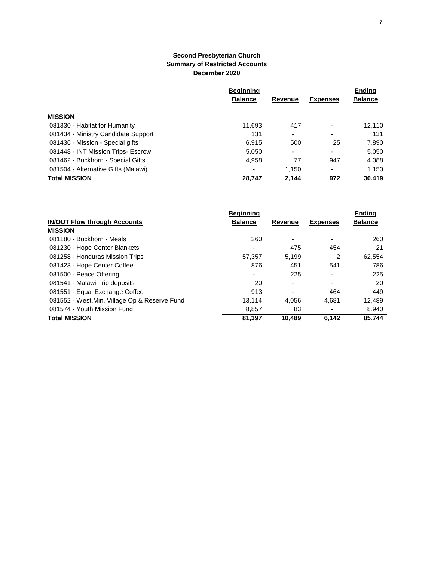|                                     | <b>Beginning</b> |         |                          |                |
|-------------------------------------|------------------|---------|--------------------------|----------------|
|                                     | <b>Balance</b>   | Revenue | <b>Expenses</b>          | <b>Balance</b> |
| <b>MISSION</b>                      |                  |         |                          |                |
| 081330 - Habitat for Humanity       | 11,693           | 417     |                          | 12,110         |
| 081434 - Ministry Candidate Support | 131              | ٠       |                          | 131            |
| 081436 - Mission - Special gifts    | 6.915            | 500     | 25                       | 7,890          |
| 081448 - INT Mission Trips- Escrow  | 5,050            | ٠       | $\overline{\phantom{0}}$ | 5,050          |
| 081462 - Buckhorn - Special Gifts   | 4,958            | 77      | 947                      | 4,088          |
| 081504 - Alternative Gifts (Malawi) |                  | 1,150   | $\overline{\phantom{0}}$ | 1,150          |
| <b>Total MISSION</b>                | 28,747           | 2.144   | 972                      | 30.419         |

|                                               | <b>Beginning</b> |                          |                          | <b>Ending</b>  |
|-----------------------------------------------|------------------|--------------------------|--------------------------|----------------|
| <b>IN/OUT Flow through Accounts</b>           | <b>Balance</b>   | <b>Revenue</b>           | <b>Expenses</b>          | <b>Balance</b> |
| <b>MISSION</b>                                |                  |                          |                          |                |
| 081180 - Buckhorn - Meals                     | 260              | ۰                        | ٠                        | 260            |
| 081230 - Hope Center Blankets                 |                  | 475                      | 454                      | 21             |
| 081258 - Honduras Mission Trips               | 57.357           | 5.199                    | 2                        | 62,554         |
| 081423 - Hope Center Coffee                   | 876              | 451                      | 541                      | 786            |
| 081500 - Peace Offering                       |                  | 225                      | ۰                        | 225            |
| 081541 - Malawi Trip deposits                 | 20               | $\overline{\phantom{0}}$ | $\overline{\phantom{0}}$ | 20             |
| 081551 - Equal Exchange Coffee                | 913              | -                        | 464                      | 449            |
| 081552 - West. Min. Village Op & Reserve Fund | 13.114           | 4,056                    | 4.681                    | 12,489         |
| 081574 - Youth Mission Fund                   | 8,857            | 83                       |                          | 8,940          |
| <b>Total MISSION</b>                          | 81.397           | 10.489                   | 6.142                    | 85.744         |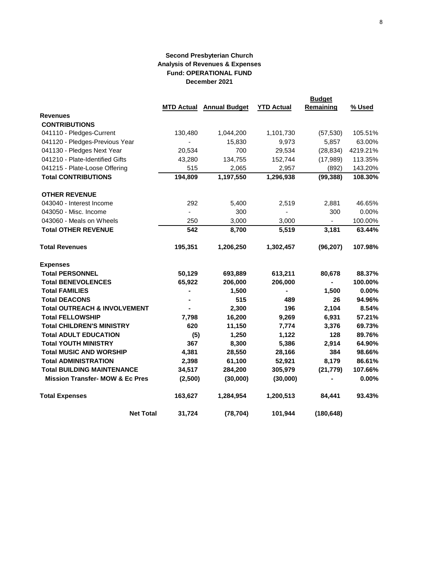|                                            |         |                                 | <b>YTD Actual</b> | <b>Budget</b><br>Remaining | % Used   |
|--------------------------------------------|---------|---------------------------------|-------------------|----------------------------|----------|
| <b>Revenues</b>                            |         | <b>MTD Actual Annual Budget</b> |                   |                            |          |
| <b>CONTRIBUTIONS</b>                       |         |                                 |                   |                            |          |
| 041110 - Pledges-Current                   | 130,480 | 1,044,200                       | 1,101,730         | (57, 530)                  | 105.51%  |
| 041120 - Pledges-Previous Year             |         | 15,830                          | 9,973             | 5,857                      | 63.00%   |
| 041130 - Pledges Next Year                 | 20,534  | 700                             | 29,534            | (28, 834)                  | 4219.21% |
| 041210 - Plate-Identified Gifts            | 43,280  | 134,755                         | 152,744           | (17,989)                   | 113.35%  |
| 041215 - Plate-Loose Offering              | 515     | 2,065                           | 2,957             | (892)                      | 143.20%  |
| <b>Total CONTRIBUTIONS</b>                 | 194,809 | 1,197,550                       | 1,296,938         | (99, 388)                  | 108.30%  |
| <b>OTHER REVENUE</b>                       |         |                                 |                   |                            |          |
| 043040 - Interest Income                   | 292     | 5,400                           | 2,519             | 2,881                      | 46.65%   |
| 043050 - Misc. Income                      |         | 300                             |                   | 300                        | 0.00%    |
| 043060 - Meals on Wheels                   | 250     | 3,000                           | 3,000             | $\overline{\phantom{a}}$   | 100.00%  |
| <b>Total OTHER REVENUE</b>                 | 542     | 8,700                           | 5,519             | 3,181                      | 63.44%   |
| Total Revenues                             | 195,351 | 1,206,250                       | 1,302,457         | (96, 207)                  | 107.98%  |
| <b>Expenses</b>                            |         |                                 |                   |                            |          |
| <b>Total PERSONNEL</b>                     | 50,129  | 693,889                         | 613,211           | 80,678                     | 88.37%   |
| <b>Total BENEVOLENCES</b>                  | 65,922  | 206,000                         | 206,000           | $\blacksquare$             | 100.00%  |
| <b>Total FAMILIES</b>                      |         | 1,500                           | Ξ.                | 1,500                      | 0.00%    |
| <b>Total DEACONS</b>                       |         | 515                             | 489               | 26                         | 94.96%   |
| <b>Total OUTREACH &amp; INVOLVEMENT</b>    |         | 2,300                           | 196               | 2,104                      | 8.54%    |
| <b>Total FELLOWSHIP</b>                    | 7,798   | 16,200                          | 9,269             | 6,931                      | 57.21%   |
| <b>Total CHILDREN'S MINISTRY</b>           | 620     | 11,150                          | 7,774             | 3,376                      | 69.73%   |
| <b>Total ADULT EDUCATION</b>               | (5)     | 1,250                           | 1,122             | 128                        | 89.76%   |
| <b>Total YOUTH MINISTRY</b>                | 367     | 8,300                           | 5,386             | 2,914                      | 64.90%   |
| <b>Total MUSIC AND WORSHIP</b>             | 4,381   | 28,550                          | 28,166            | 384                        | 98.66%   |
| <b>Total ADMINISTRATION</b>                | 2,398   | 61,100                          | 52,921            | 8,179                      | 86.61%   |
| <b>Total BUILDING MAINTENANCE</b>          | 34,517  | 284,200                         | 305,979           | (21, 779)                  | 107.66%  |
| <b>Mission Transfer- MOW &amp; Ec Pres</b> | (2,500) | (30,000)                        | (30,000)          |                            | 0.00%    |
| <b>Total Expenses</b>                      | 163,627 | 1,284,954                       | 1,200,513         | 84,441                     | 93.43%   |
| <b>Net Total</b>                           | 31,724  | (78, 704)                       | 101,944           | (180, 648)                 |          |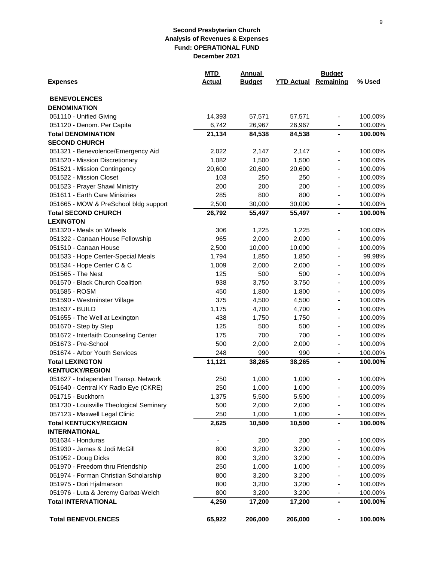|                                          | <u>MTD</u>    | <b>Annual</b> |                   | <b>Budget</b>                |         |  |  |
|------------------------------------------|---------------|---------------|-------------------|------------------------------|---------|--|--|
| <b>Expenses</b>                          | <b>Actual</b> | <b>Budget</b> | <b>YTD Actual</b> | Remaining                    | % Used  |  |  |
| <b>BENEVOLENCES</b>                      |               |               |                   |                              |         |  |  |
| <b>DENOMINATION</b>                      |               |               |                   |                              |         |  |  |
| 051110 - Unified Giving                  | 14,393        | 57,571        | 57,571            | ٠                            | 100.00% |  |  |
| 051120 - Denom. Per Capita               | 6,742         | 26,967        | 26,967            |                              | 100.00% |  |  |
| <b>Total DENOMINATION</b>                | 21,134        | 84,538        | 84,538            | $\blacksquare$               | 100.00% |  |  |
| <b>SECOND CHURCH</b>                     |               |               |                   |                              |         |  |  |
| 051321 - Benevolence/Emergency Aid       | 2,022         | 2,147         | 2,147             | ÷,                           | 100.00% |  |  |
| 051520 - Mission Discretionary           | 1,082         | 1,500         | 1,500             |                              | 100.00% |  |  |
| 051521 - Mission Contingency             | 20,600        | 20,600        | 20,600            | ٠                            | 100.00% |  |  |
| 051522 - Mission Closet                  | 103           | 250           | 250               |                              | 100.00% |  |  |
| 051523 - Prayer Shawl Ministry           | 200           | 200           | 200               |                              | 100.00% |  |  |
| 051611 - Earth Care Ministries           | 285           | 800           | 800               | -                            | 100.00% |  |  |
| 051665 - MOW & PreSchool bldg support    | 2,500         | 30,000        | 30,000            | -                            | 100.00% |  |  |
| <b>Total SECOND CHURCH</b>               | 26,792        | 55,497        | 55,497            | $\blacksquare$               | 100.00% |  |  |
| <b>LEXINGTON</b>                         |               |               |                   |                              |         |  |  |
| 051320 - Meals on Wheels                 | 306           | 1,225         | 1,225             | $\qquad \qquad \blacksquare$ | 100.00% |  |  |
| 051322 - Canaan House Fellowship         | 965           | 2,000         | 2,000             | ٠                            | 100.00% |  |  |
| 051510 - Canaan House                    | 2,500         | 10,000        | 10,000            | ٠                            | 100.00% |  |  |
| 051533 - Hope Center-Special Meals       | 1,794         | 1,850         | 1,850             | ÷,                           | 99.98%  |  |  |
| 051534 - Hope Center C & C               | 1,009         | 2,000         | 2,000             | $\overline{\phantom{0}}$     | 100.00% |  |  |
| 051565 - The Nest                        | 125           | 500           | 500               | $\blacksquare$               | 100.00% |  |  |
| 051570 - Black Church Coalition          | 938           | 3,750         | 3,750             | ٠                            | 100.00% |  |  |
| 051585 - ROSM                            | 450           | 1,800         | 1,800             | ÷,                           | 100.00% |  |  |
| 051590 - Westminster Village             | 375           | 4,500         | 4,500             | $\qquad \qquad \blacksquare$ | 100.00% |  |  |
| 051637 - BUILD                           | 1,175         | 4,700         | 4,700             | $\qquad \qquad \blacksquare$ | 100.00% |  |  |
| 051655 - The Well at Lexington           | 438           | 1,750         | 1,750             | ٠                            | 100.00% |  |  |
| 051670 - Step by Step                    | 125           | 500           | 500               | $\qquad \qquad \blacksquare$ | 100.00% |  |  |
| 051672 - Interfaith Counseling Center    | 175           | 700           | 700               | -                            | 100.00% |  |  |
| 051673 - Pre-School                      | 500           | 2,000         | 2,000             | $\overline{a}$               | 100.00% |  |  |
| 051674 - Arbor Youth Services            | 248           | 990           | 990               | -                            | 100.00% |  |  |
| <b>Total LEXINGTON</b>                   | 11,121        | 38,265        | 38,265            | $\blacksquare$               | 100.00% |  |  |
| <b>KENTUCKY/REGION</b>                   |               |               |                   |                              |         |  |  |
| 051627 - Independent Transp. Network     | 250           | 1,000         | 1,000             |                              | 100.00% |  |  |
| 051640 - Central KY Radio Eye (CKRE)     | 250           | 1,000         | 1,000             |                              | 100.00% |  |  |
| 051715 - Buckhorn                        | 1,375         | 5,500         | 5,500             |                              | 100.00% |  |  |
| 051730 - Louisville Theological Seminary | 500           | 2,000         | 2,000             |                              | 100.00% |  |  |
| 057123 - Maxwell Legal Clinic            | 250           | 1,000         | 1,000             |                              | 100.00% |  |  |
| <b>Total KENTUCKY/REGION</b>             | 2,625         | 10,500        | 10,500            |                              | 100.00% |  |  |
| <b>INTERNATIONAL</b>                     |               |               |                   |                              |         |  |  |
| 051634 - Honduras                        |               | 200           | 200               |                              | 100.00% |  |  |
| 051930 - James & Jodi McGill             | 800           | 3,200         | 3,200             |                              | 100.00% |  |  |
| 051952 - Doug Dicks                      | 800           | 3,200         | 3,200             |                              | 100.00% |  |  |
| 051970 - Freedom thru Friendship         | 250           | 1,000         | 1,000             |                              | 100.00% |  |  |
| 051974 - Forman Christian Scholarship    | 800           | 3,200         | 3,200             |                              | 100.00% |  |  |
| 051975 - Dori Hjalmarson                 | 800           | 3,200         | 3,200             |                              | 100.00% |  |  |
| 051976 - Luta & Jeremy Garbat-Welch      | 800           | 3,200         | 3,200             |                              | 100.00% |  |  |
| <b>Total INTERNATIONAL</b>               | 4,250         | 17,200        | 17,200            | -<br>$\blacksquare$          | 100.00% |  |  |
|                                          |               |               |                   |                              |         |  |  |
| <b>Total BENEVOLENCES</b>                | 65,922        | 206,000       | 206,000           |                              | 100.00% |  |  |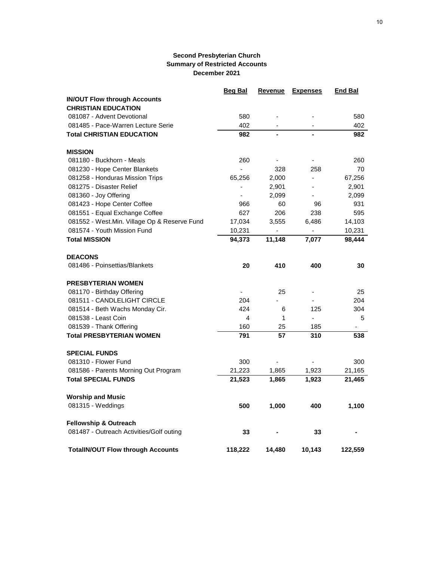|                                              | <b>Beg Bal</b> | Revenue | <b>Expenses</b> | <b>End Bal</b> |
|----------------------------------------------|----------------|---------|-----------------|----------------|
| <b>IN/OUT Flow through Accounts</b>          |                |         |                 |                |
| <b>CHRISTIAN EDUCATION</b>                   |                |         |                 |                |
| 081087 - Advent Devotional                   | 580            |         |                 | 580            |
| 081485 - Pace-Warren Lecture Serie           | 402            |         |                 | 402            |
| <b>Total CHRISTIAN EDUCATION</b>             | 982            |         |                 | 982            |
| <b>MISSION</b>                               |                |         |                 |                |
| 081180 - Buckhorn - Meals                    | 260            |         |                 | 260            |
| 081230 - Hope Center Blankets                | ä,             | 328     | 258             | 70             |
| 081258 - Honduras Mission Trips              | 65,256         | 2,000   | ÷,              | 67,256         |
| 081275 - Disaster Relief                     | $\frac{1}{2}$  | 2,901   |                 | 2,901          |
| 081360 - Joy Offering                        | $\blacksquare$ | 2,099   |                 | 2,099          |
| 081423 - Hope Center Coffee                  | 966            | 60      | 96              | 931            |
| 081551 - Equal Exchange Coffee               | 627            | 206     | 238             | 595            |
| 081552 - West.Min. Village Op & Reserve Fund | 17,034         | 3,555   | 6,486           | 14,103         |
| 081574 - Youth Mission Fund                  | 10,231         |         |                 | 10,231         |
| <b>Total MISSION</b>                         | 94,373         | 11,148  | 7,077           | 98,444         |
| <b>DEACONS</b>                               |                |         |                 |                |
| 081486 - Poinsettias/Blankets                | 20             | 410     | 400             | 30             |
| <b>PRESBYTERIAN WOMEN</b>                    |                |         |                 |                |
| 081170 - Birthday Offering                   |                | 25      |                 | 25             |
| 081511 - CANDLELIGHT CIRCLE                  | 204            |         | ÷,              | 204            |
| 081514 - Beth Wachs Monday Cir.              | 424            | 6       | 125             | 304            |
| 081538 - Least Coin                          | 4              | 1       |                 | 5              |
| 081539 - Thank Offering                      | 160            | 25      | 185             |                |
| <b>Total PRESBYTERIAN WOMEN</b>              | 791            | 57      | 310             | 538            |
| <b>SPECIAL FUNDS</b>                         |                |         |                 |                |
| 081310 - Flower Fund                         | 300            |         |                 | 300            |
| 081586 - Parents Morning Out Program         | 21,223         | 1,865   | 1,923           | 21,165         |
| <b>Total SPECIAL FUNDS</b>                   | 21,523         | 1,865   | 1,923           | 21,465         |
| <b>Worship and Music</b>                     |                |         |                 |                |
| 081315 - Weddings                            | 500            | 1,000   | 400             | 1,100          |
| <b>Fellowship &amp; Outreach</b>             |                |         |                 |                |
| 081487 - Outreach Activities/Golf outing     | 33             |         | 33              |                |
| <b>TotalIN/OUT Flow through Accounts</b>     | 118,222        | 14,480  | 10,143          | 122,559        |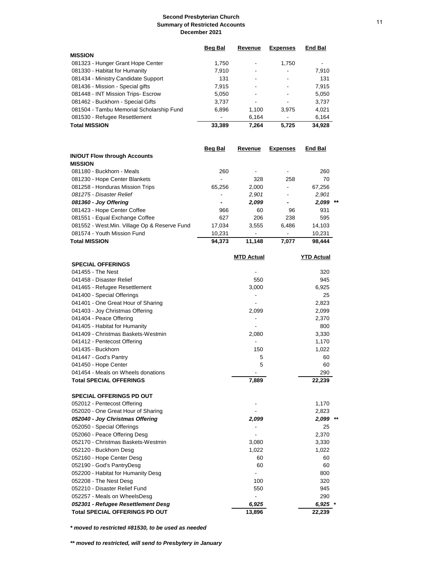|                                          | <b>Beg Bal</b> | Revenue | <b>Expenses</b> | <b>End Bal</b> |
|------------------------------------------|----------------|---------|-----------------|----------------|
| <b>MISSION</b>                           |                |         |                 |                |
| 081323 - Hunger Grant Hope Center        | 1.750          |         | 1.750           |                |
| 081330 - Habitat for Humanity            | 7,910          |         |                 | 7,910          |
| 081434 - Ministry Candidate Support      | 131            |         |                 | 131            |
| 081436 - Mission - Special gifts         | 7.915          |         |                 | 7.915          |
| 081448 - INT Mission Trips- Escrow       | 5,050          |         |                 | 5,050          |
| 081462 - Buckhorn - Special Gifts        | 3.737          |         |                 | 3,737          |
| 081504 - Tambu Memorial Scholarship Fund | 6,896          | 1.100   | 3.975           | 4,021          |
| 081530 - Refugee Resettlement            |                | 6,164   |                 | 6,164          |
| <b>Total MISSION</b>                     | 33,389         | 7.264   | 5.725           | 34.928         |

|                                               | Beg Bal | Revenue | <b>Expenses</b>          | <b>End Bal</b> |    |
|-----------------------------------------------|---------|---------|--------------------------|----------------|----|
| <b>IN/OUT Flow through Accounts</b>           |         |         |                          |                |    |
| <b>MISSION</b>                                |         |         |                          |                |    |
| 081180 - Buckhorn - Meals                     | 260     |         |                          | 260            |    |
| 081230 - Hope Center Blankets                 |         | 328     | 258                      | 70             |    |
| 081258 - Honduras Mission Trips               | 65.256  | 2,000   |                          | 67,256         |    |
| 081275 - Disaster Relief                      |         | 2,901   |                          | 2,901          |    |
| 081360 - Joy Offering                         | -       | 2,099   | $\overline{\phantom{a}}$ | 2,099          | ** |
| 081423 - Hope Center Coffee                   | 966     | 60      | 96                       | 931            |    |
| 081551 - Equal Exchange Coffee                | 627     | 206     | 238                      | 595            |    |
| 081552 - West. Min. Village Op & Reserve Fund | 17.034  | 3.555   | 6.486                    | 14.103         |    |
| 081574 - Youth Mission Fund                   | 10,231  |         |                          | 10.231         |    |
| Total MISSION                                 | 94.373  | 11.148  | 7.077                    | 98.444         |    |
|                                               |         |         |                          |                |    |

|                                       | <b>MTD Actual</b> | <b>YTD Actual</b> |
|---------------------------------------|-------------------|-------------------|
| <b>SPECIAL OFFERINGS</b>              |                   |                   |
| 041455 - The Nest                     |                   | 320               |
| 041458 - Disaster Relief              | 550               | 945               |
| 041465 - Refugee Resettlement         | 3,000             | 6,925             |
| 041400 - Special Offerings            |                   | 25                |
| 041401 - One Great Hour of Sharing    |                   | 2,823             |
| 041403 - Joy Christmas Offering       | 2,099             | 2,099             |
| 041404 - Peace Offering               |                   | 2,370             |
| 041405 - Habitat for Humanity         |                   | 800               |
| 041409 - Christmas Baskets-Westmin    | 2,080             | 3,330             |
| 041412 - Pentecost Offering           |                   | 1,170             |
| 041435 - Buckhorn                     | 150               | 1,022             |
| 041447 - God's Pantry                 | 5                 | 60                |
| 041450 - Hope Center                  | 5                 | 60                |
| 041454 - Meals on Wheels donations    |                   | 290               |
| <b>Total SPECIAL OFFERINGS</b>        | 7,889             | 22,239            |
| <b>SPECIAL OFFERINGS PD OUT</b>       |                   |                   |
| 052012 - Pentecost Offering           |                   | 1,170             |
| 052020 - One Great Hour of Sharing    |                   | 2,823             |
| 052040 - Joy Christmas Offering       | 2,099             | 2,099             |
| 052050 - Special Offerings            |                   | 25                |
| 052060 - Peace Offering Desg          |                   | 2,370             |
| 052170 - Christmas Baskets-Westmin    | 3,080             | 3,330             |
| 052120 - Buckhorn Desg                | 1,022             | 1,022             |
| 052160 - Hope Center Desg             | 60                | 60                |
| 052190 - God's PantryDesg             | 60                | 60                |
| 052200 - Habitat for Humanity Desg    |                   | 800               |
| 052208 - The Nest Desg                | 100               | 320               |
| 052210 - Disaster Relief Fund         | 550               | 945               |
| 052257 - Meals on WheelsDesg          |                   | 290               |
| 052301 - Refugee Resettlement Desg    | 6,925             | $6,925$ *         |
| <b>Total SPECIAL OFFERINGS PD OUT</b> | 13,896            | 22,239            |

*\* moved to restricted #81530, to be used as needed*

*\*\* moved to restricted, will send to Presbytery in January*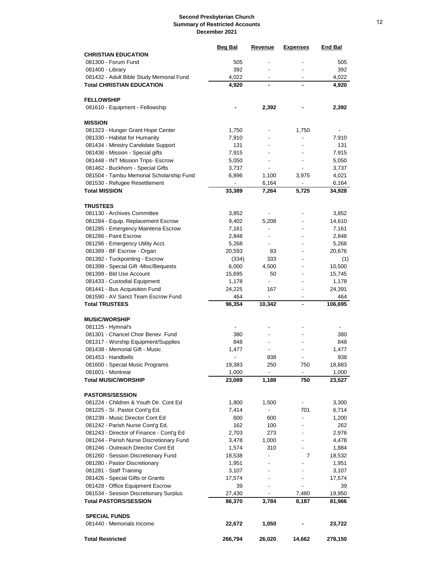|                                                                     | Beg Bal                  | <u>Revenue</u>           | <u>Expenses</u>                            | <b>End Bal</b>   |
|---------------------------------------------------------------------|--------------------------|--------------------------|--------------------------------------------|------------------|
| <b>CHRISTIAN EDUCATION</b>                                          |                          |                          |                                            |                  |
| 081300 - Forum Fund                                                 | 505                      |                          |                                            | 505              |
| 081400 - Library                                                    | 392                      |                          |                                            | 392              |
| 081432 - Adult Bible Study Memorial Fund                            | 4,022                    |                          |                                            | 4,022            |
| <b>Total CHRISTIAN EDUCATION</b>                                    | 4,920                    |                          |                                            | 4,920            |
| <b>FELLOWSHIP</b>                                                   |                          |                          |                                            |                  |
| 081610 - Equipment - Fellowship                                     |                          | 2,392                    |                                            | 2,392            |
|                                                                     |                          |                          |                                            |                  |
| <b>MISSION</b>                                                      |                          |                          |                                            |                  |
| 081323 - Hunger Grant Hope Center                                   | 1,750                    |                          | 1,750                                      |                  |
| 081330 - Habitat for Humanity                                       | 7,910                    |                          |                                            | 7,910            |
| 081434 - Ministry Candidate Support                                 | 131                      |                          |                                            | 131              |
| 081436 - Mission - Special gifts                                    | 7,915                    |                          | $\blacksquare$                             | 7,915            |
| 081448 - INT Mission Trips- Escrow                                  | 5,050                    |                          |                                            | 5,050            |
| 081462 - Buckhorn - Special Gifts                                   | 3,737                    |                          |                                            | 3,737            |
| 081504 - Tambu Memorial Scholarship Fund                            | 6,896                    | 1,100                    | 3,975                                      | 4,021            |
| 081530 - Refugee Resettlement                                       | ÷,                       | 6,164                    | $\overline{\phantom{a}}$                   | 6,164            |
| <b>Total MISSION</b>                                                | 33,389                   | 7,264                    | 5,725                                      | 34,928           |
|                                                                     |                          |                          |                                            |                  |
| TRUSTEES                                                            |                          |                          |                                            |                  |
| 081130 - Archives Committee                                         | 3,852                    |                          |                                            | 3,852            |
| 081284 - Equip. Replacement Escrow                                  | 9,402                    | 5,208                    | $\overline{\phantom{a}}$                   | 14,610           |
| 081285 - Emergency Maintena Escrow                                  | 7,161                    |                          |                                            | 7,161            |
| 081286 - Paint Escrow                                               | 2,848                    |                          |                                            | 2,848            |
| 081296 - Emergency Utility Acct.                                    | 5,268                    |                          |                                            | 5,268            |
| 081389 - BF Escrow - Organ                                          | 20,593                   | 83                       |                                            | 20,676           |
| 081392 - Tuckpointing - Escrow                                      | (334)                    | 333                      | $\overline{a}$                             | (1)              |
| 081398 - Special Gift -Misc/Bequests<br>081399 - Bld Use Account    | 6,000                    | 4,500<br>50              |                                            | 10,500<br>15,745 |
| 081433 - Custodial Equipment                                        | 15,695<br>1,178          | $\overline{\phantom{a}}$ |                                            | 1,178            |
| 081441 - Bus Acquisition Fund                                       | 24,225                   | 167                      | $\blacksquare$                             | 24,391           |
| 081590 - AV Sanct Team Escrow Fund                                  | 464                      |                          |                                            | 464              |
| <b>Total TRUSTEES</b>                                               | 96,354                   | 10,342                   |                                            | 106,695          |
|                                                                     |                          |                          |                                            |                  |
| <b>MUSIC/WORSHIP</b>                                                |                          |                          |                                            |                  |
| 081125 - Hymnal's                                                   | $\overline{\phantom{a}}$ |                          |                                            |                  |
| 081301 - Chancel Choir Benev. Fund                                  | 380                      |                          |                                            | 380              |
| 081317 - Worship Equipment/Supplies                                 | 848                      |                          |                                            | 848              |
| 081438 - Memorial Gift - Music                                      | 1,477                    |                          |                                            | 1,477            |
| 081453 - Handbells                                                  | ٠                        | 938                      | Ĭ.                                         | 938              |
| 081600 - Special Music Programs                                     | 19,383                   | 250                      | 750                                        | 18,883           |
| 081601 - Montreat                                                   | 1,000                    |                          | -                                          | 1,000            |
| <b>Total MUSIC/WORSHIP</b>                                          | 23,089                   | 1,188                    | 750                                        | 23,527           |
|                                                                     |                          |                          |                                            |                  |
| <b>PASTORS/SESSION</b>                                              |                          |                          |                                            |                  |
| 081224 - Children & Youth Dir. Cont Ed                              | 1,800                    | 1,500                    | $\overline{\phantom{a}}$                   | 3,300            |
| 081225 - Sr. Pastor Cont'g Ed.                                      | 7,414                    | -                        | 701                                        | 6,714            |
| 081239 - Music Director Cont Ed<br>081242 - Parish Nurse Cont'g Ed. | 600<br>162               | 600<br>100               | $\overline{\phantom{0}}$<br>$\blacksquare$ | 1,200<br>262     |
| 081243 - Director of Finance - Cont'g Ed                            | 2,703                    | 273                      |                                            | 2,976            |
| 081244 - Parish Nurse Discretionary Fund                            | 3,478                    | 1,000                    |                                            | 4,478            |
| 081246 - Outreach Director Cont Ed                                  | 1,574                    | 310                      |                                            | 1,884            |
| 081260 - Session Discretionary Fund                                 | 18,538                   | $\overline{\phantom{a}}$ | 7                                          | 18,532           |
| 081280 - Pastor Discretionary                                       | 1,951                    |                          |                                            | 1,951            |
| 081281 - Staff Training                                             | 3,107                    |                          |                                            | 3,107            |
| 081426 - Special Gifts or Grants                                    | 17,574                   |                          |                                            | 17,574           |
| 081428 - Office Equipment Escrow                                    | 39                       |                          |                                            | 39               |
| 081534 - Session Discretionary Surplus                              | 27,430                   |                          | 7,480                                      | 19,950           |
| <b>Total PASTORS/SESSION</b>                                        | 86,370                   | 3,784                    | 8,187                                      | 81,966           |
|                                                                     |                          |                          |                                            |                  |
| <b>SPECIAL FUNDS</b>                                                |                          |                          |                                            |                  |
| 081440 - Memorials Income                                           | 22,672                   | 1,050                    |                                            | 23,722           |
|                                                                     |                          |                          |                                            |                  |
| <b>Total Restricted</b>                                             | 266,794                  | 26,020                   | 14,662                                     | 278,150          |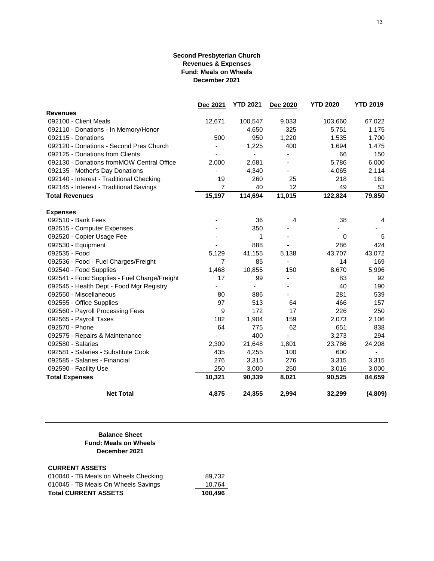#### **Second Presbyterian Church Revenues & Expenses Fund: Meals on Wheels December 2021**

|                                              | Dec 2021 | <b>YTD 2021</b> | Dec 2020 | <b>YTD 2020</b> | <b>YTD 2019</b> |
|----------------------------------------------|----------|-----------------|----------|-----------------|-----------------|
| <b>Revenues</b>                              |          |                 |          |                 |                 |
| 092100 - Client Meals                        | 12,671   | 100,547         | 9,033    | 103,660         | 67,022          |
| 092110 - Donations - In Memory/Honor         |          | 4,650           | 325      | 5,751           | 1,175           |
| 092115 - Donations                           | 500      | 950             | 1,220    | 1,535           | 1,700           |
| 092120 - Donations - Second Pres Church      |          | 1,225           | 400      | 1,694           | 1,475           |
| 092125 - Donations from Clients              |          |                 |          | 66              | 150             |
| 092130 - Donations fromMOW Central Office    | 2,000    | 2,681           |          | 5,786           | 6,000           |
| 092135 - Mother's Day Donations              |          | 4,340           |          | 4,065           | 2,114           |
| 092140 - Interest - Traditional Checking     | 19       | 260             | 25       | 218             | 161             |
| 092145 - Interest - Traditional Savings      | 7        | 40              | 12       | 49              | 53              |
| <b>Total Revenues</b>                        | 15,197   | 114,694         | 11,015   | 122,824         | 79,850          |
| <b>Expenses</b>                              |          |                 |          |                 |                 |
| 092510 - Bank Fees                           |          | 36              | 4        | 38              | 4               |
| 092515 - Computer Expenses                   |          | 350             |          |                 |                 |
| 092520 - Copier Usage Fee                    |          | 1               |          | 0               | 5               |
| 092530 - Equipment                           |          | 888             |          | 286             | 424             |
| 092535 - Food                                | 5,129    | 41,155          | 5,138    | 43,707          | 43,072          |
| 092536 - Food - Fuel Charges/Freight         | 7        | 85              |          | 14              | 169             |
| 092540 - Food Supplies                       | 1,468    | 10,855          | 150      | 8,670           | 5,996           |
| 092541 - Food Supplies - Fuel Charge/Freight | 17       | 99              |          | 83              | 92              |
| 092545 - Health Dept - Food Mgr Registry     |          |                 |          | 40              | 190             |
| 092550 - Miscellaneous                       | 80       | 886             |          | 281             | 539             |
| 092555 - Office Supplies                     | 97       | 513             | 64       | 466             | 157             |
| 092560 - Payroll Processing Fees             | 9        | 172             | 17       | 226             | 250             |
| 092565 - Payroll Taxes                       | 182      | 1,904           | 159      | 2,073           | 2,106           |
| 092570 - Phone                               | 64       | 775             | 62       | 651             | 838             |
| 092575 - Repairs & Maintenance               |          | 400             | ÷,       | 3,273           | 294             |
| 092580 - Salaries                            | 2,309    | 21,648          | 1,801    | 23,786          | 24,208          |
| 092581 - Salaries - Substitute Cook          | 435      | 4,255           | 100      | 600             |                 |
| 092585 - Salaries - Financial                | 276      | 3,315           | 276      | 3,315           | 3,315           |
| 092590 - Facility Use                        | 250      | 3,000           | 250      | 3,016           | 3,000           |
| <b>Total Expenses</b>                        | 10,321   | 90,339          | 8,021    | 90,525          | 84,659          |
| <b>Net Total</b>                             | 4,875    | 24,355          | 2,994    | 32,299          | (4,809)         |

#### **Balance Sheet Fund: Meals on Wheels December 2021**

#### **CURRENT ASSETS**

| <b>Total CURRENT ASSETS</b>          | 100.496 |
|--------------------------------------|---------|
| 010045 - TB Meals On Wheels Savings  | 10.764  |
| 010040 - TB Meals on Wheels Checking | 89.732  |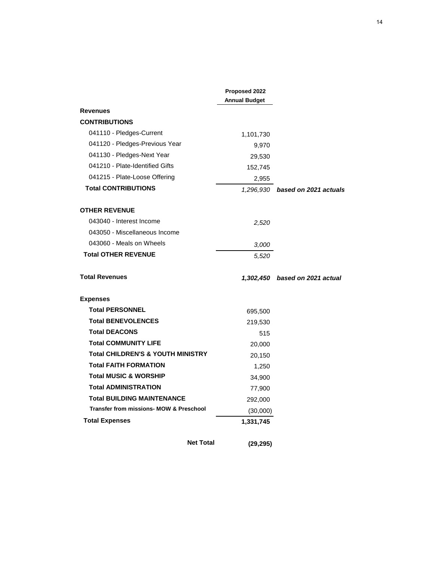|                                                    | Proposed 2022        |                                 |
|----------------------------------------------------|----------------------|---------------------------------|
|                                                    | <b>Annual Budget</b> |                                 |
| <b>Revenues</b>                                    |                      |                                 |
| <b>CONTRIBUTIONS</b>                               |                      |                                 |
| 041110 - Pledges-Current                           | 1,101,730            |                                 |
| 041120 - Pledges-Previous Year                     | 9,970                |                                 |
| 041130 - Pledges-Next Year                         | 29,530               |                                 |
| 041210 - Plate-Identified Gifts                    | 152,745              |                                 |
| 041215 - Plate-Loose Offering                      | 2,955                |                                 |
| <b>Total CONTRIBUTIONS</b>                         |                      | 1,296,930 based on 2021 actuals |
| <b>OTHER REVENUE</b>                               |                      |                                 |
| 043040 - Interest Income                           | 2,520                |                                 |
| 043050 - Miscellaneous Income                      |                      |                                 |
| 043060 - Meals on Wheels                           | 3,000                |                                 |
| <b>Total OTHER REVENUE</b>                         | 5,520                |                                 |
| <b>Total Revenues</b>                              |                      | 1,302,450 based on 2021 actual  |
| <b>Expenses</b>                                    |                      |                                 |
| <b>Total PERSONNEL</b>                             | 695,500              |                                 |
| <b>Total BENEVOLENCES</b>                          | 219,530              |                                 |
| <b>Total DEACONS</b>                               | 515                  |                                 |
| <b>Total COMMUNITY LIFE</b>                        | 20,000               |                                 |
| <b>Total CHILDREN'S &amp; YOUTH MINISTRY</b>       | 20,150               |                                 |
| <b>Total FAITH FORMATION</b>                       | 1,250                |                                 |
| <b>Total MUSIC &amp; WORSHIP</b>                   | 34,900               |                                 |
| <b>Total ADMINISTRATION</b>                        | 77,900               |                                 |
| <b>Total BUILDING MAINTENANCE</b>                  | 292,000              |                                 |
| <b>Transfer from missions- MOW &amp; Preschool</b> | (30,000)             |                                 |
| <b>Total Expenses</b>                              | 1,331,745            |                                 |
|                                                    |                      |                                 |